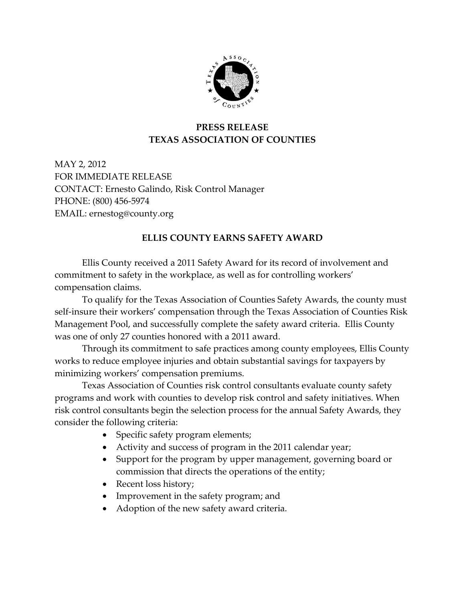

## **PRESS RELEASE TEXAS ASSOCIATION OF COUNTIES**

MAY 2, 2012 FOR IMMEDIATE RELEASE CONTACT: Ernesto Galindo, Risk Control Manager PHONE: (800) 456-5974 EMAIL: ernestog@county.org

## **ELLIS COUNTY EARNS SAFETY AWARD**

Ellis County received a 2011 Safety Award for its record of involvement and commitment to safety in the workplace, as well as for controlling workers' compensation claims.

To qualify for the Texas Association of Counties Safety Awards, the county must self-insure their workers' compensation through the Texas Association of Counties Risk Management Pool, and successfully complete the safety award criteria. Ellis County was one of only 27 counties honored with a 2011 award.

Through its commitment to safe practices among county employees, Ellis County works to reduce employee injuries and obtain substantial savings for taxpayers by minimizing workers' compensation premiums.

Texas Association of Counties risk control consultants evaluate county safety programs and work with counties to develop risk control and safety initiatives. When risk control consultants begin the selection process for the annual Safety Awards, they consider the following criteria:

- Specific safety program elements;
- Activity and success of program in the 2011 calendar year;
- Support for the program by upper management, governing board or commission that directs the operations of the entity;
- Recent loss history;
- Improvement in the safety program; and
- Adoption of the new safety award criteria.